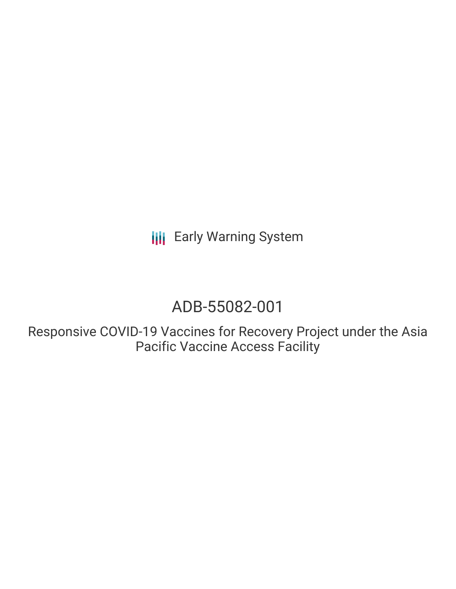# ADB-55082-001

Responsive COVID-19 Vaccines for Recovery Project under the Asia Pacific Vaccine Access Facility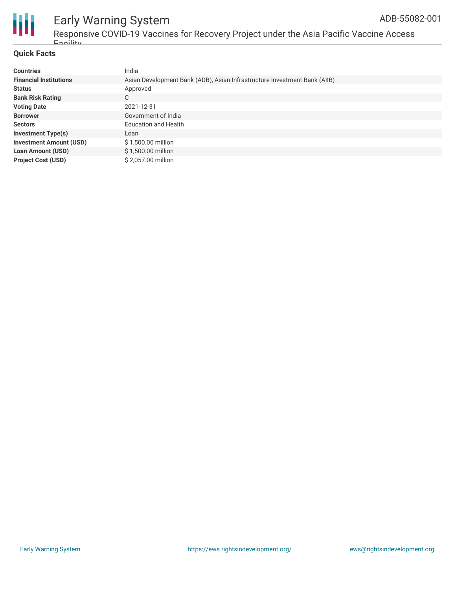

Responsive COVID-19 Vaccines for Recovery Project under the Asia Pacific Vaccine Access Facility

#### **Quick Facts**

| <b>Countries</b>               | India                                                                     |
|--------------------------------|---------------------------------------------------------------------------|
| <b>Financial Institutions</b>  | Asian Development Bank (ADB), Asian Infrastructure Investment Bank (AIIB) |
| <b>Status</b>                  | Approved                                                                  |
| <b>Bank Risk Rating</b>        | C                                                                         |
| <b>Voting Date</b>             | 2021-12-31                                                                |
| <b>Borrower</b>                | Government of India                                                       |
| <b>Sectors</b>                 | <b>Education and Health</b>                                               |
| <b>Investment Type(s)</b>      | Loan                                                                      |
| <b>Investment Amount (USD)</b> | \$1,500.00 million                                                        |
| <b>Loan Amount (USD)</b>       | \$1,500.00 million                                                        |
| <b>Project Cost (USD)</b>      | \$2,057.00 million                                                        |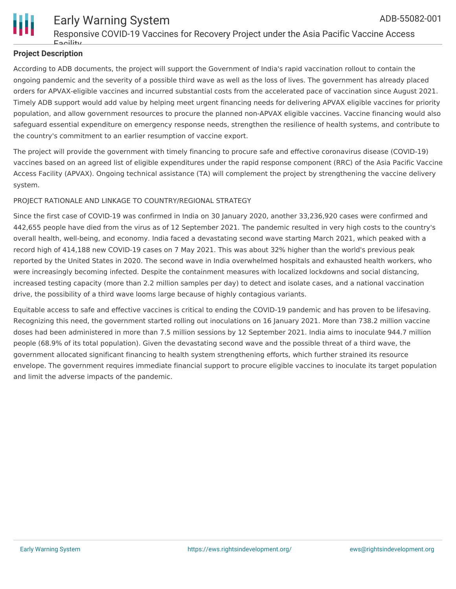

#### **Project Description**

According to ADB documents, the project will support the Government of India's rapid vaccination rollout to contain the ongoing pandemic and the severity of a possible third wave as well as the loss of lives. The government has already placed orders for APVAX-eligible vaccines and incurred substantial costs from the accelerated pace of vaccination since August 2021. Timely ADB support would add value by helping meet urgent financing needs for delivering APVAX eligible vaccines for priority population, and allow government resources to procure the planned non-APVAX eligible vaccines. Vaccine financing would also safeguard essential expenditure on emergency response needs, strengthen the resilience of health systems, and contribute to the country's commitment to an earlier resumption of vaccine export.

The project will provide the government with timely financing to procure safe and effective coronavirus disease (COVID-19) vaccines based on an agreed list of eligible expenditures under the rapid response component (RRC) of the Asia Pacific Vaccine Access Facility (APVAX). Ongoing technical assistance (TA) will complement the project by strengthening the vaccine delivery system.

#### PROJECT RATIONALE AND LINKAGE TO COUNTRY/REGIONAL STRATEGY

Since the first case of COVID-19 was confirmed in India on 30 January 2020, another 33,236,920 cases were confirmed and 442,655 people have died from the virus as of 12 September 2021. The pandemic resulted in very high costs to the country's overall health, well-being, and economy. India faced a devastating second wave starting March 2021, which peaked with a record high of 414,188 new COVID-19 cases on 7 May 2021. This was about 32% higher than the world's previous peak reported by the United States in 2020. The second wave in India overwhelmed hospitals and exhausted health workers, who were increasingly becoming infected. Despite the containment measures with localized lockdowns and social distancing, increased testing capacity (more than 2.2 million samples per day) to detect and isolate cases, and a national vaccination drive, the possibility of a third wave looms large because of highly contagious variants.

Equitable access to safe and effective vaccines is critical to ending the COVID-19 pandemic and has proven to be lifesaving. Recognizing this need, the government started rolling out inoculations on 16 January 2021. More than 738.2 million vaccine doses had been administered in more than 7.5 million sessions by 12 September 2021. India aims to inoculate 944.7 million people (68.9% of its total population). Given the devastating second wave and the possible threat of a third wave, the government allocated significant financing to health system strengthening efforts, which further strained its resource envelope. The government requires immediate financial support to procure eligible vaccines to inoculate its target population and limit the adverse impacts of the pandemic.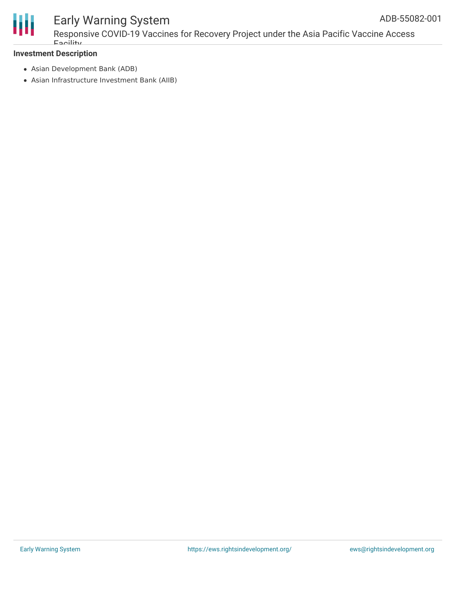

Responsive COVID-19 Vaccines for Recovery Project under the Asia Pacific Vaccine Access Facility

#### **Investment Description**

- Asian Development Bank (ADB)
- Asian Infrastructure Investment Bank (AIIB)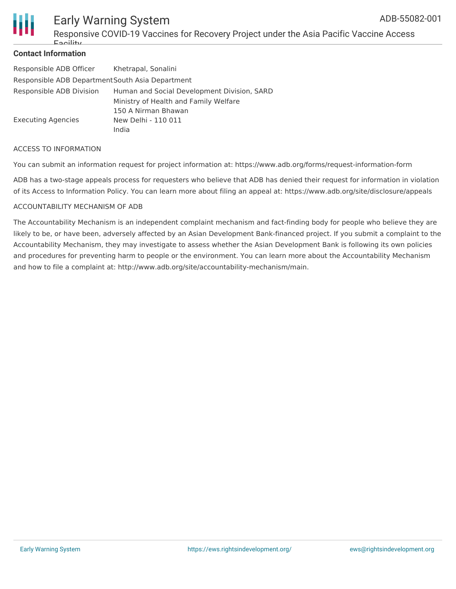

Responsive COVID-19 Vaccines for Recovery Project under the Asia Pacific Vaccine Access Facility

#### **Contact Information**

| Responsible ADB Officer                          | Khetrapal, Sonalini                         |  |
|--------------------------------------------------|---------------------------------------------|--|
| Responsible ADB Department South Asia Department |                                             |  |
| Responsible ADB Division                         | Human and Social Development Division, SARD |  |
|                                                  | Ministry of Health and Family Welfare       |  |
|                                                  | 150 A Nirman Bhawan                         |  |
| Executing Agencies                               | New Delhi - 110 011                         |  |
|                                                  | India                                       |  |

#### ACCESS TO INFORMATION

You can submit an information request for project information at: https://www.adb.org/forms/request-information-form

ADB has a two-stage appeals process for requesters who believe that ADB has denied their request for information in violation of its Access to Information Policy. You can learn more about filing an appeal at: https://www.adb.org/site/disclosure/appeals

#### ACCOUNTABILITY MECHANISM OF ADB

The Accountability Mechanism is an independent complaint mechanism and fact-finding body for people who believe they are likely to be, or have been, adversely affected by an Asian Development Bank-financed project. If you submit a complaint to the Accountability Mechanism, they may investigate to assess whether the Asian Development Bank is following its own policies and procedures for preventing harm to people or the environment. You can learn more about the Accountability Mechanism and how to file a complaint at: http://www.adb.org/site/accountability-mechanism/main.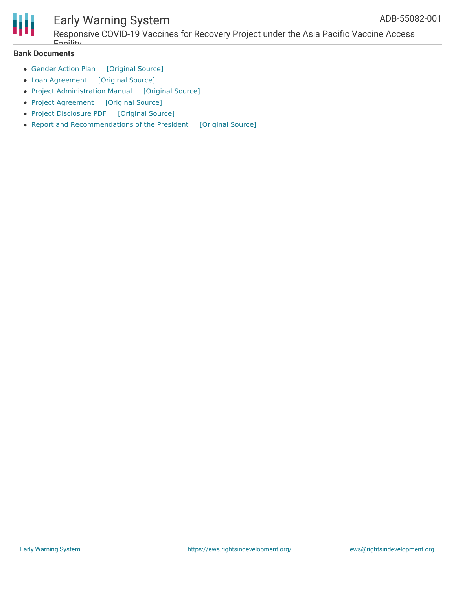

Responsive COVID-19 Vaccines for Recovery Project under the Asia Pacific Vaccine Access Facility

#### **Bank Documents**

- [Gender](https://ewsdata.rightsindevelopment.org/files/documents/01/ADB-55082-001_Cat0ET5.pdf) Action Plan [\[Original](https://www.adb.org/sites/default/files/project-documents/55082/55082-001-gap-en.pdf) Source]
- Loan [Agreement](https://ewsdata.rightsindevelopment.org/files/documents/01/ADB-55082-001_aCeIg5n.pdf) [\[Original](https://www.adb.org/sites/default/files/project-documents/55082/55082-001-lna-en.pdf) Source]
- Project [Administration](https://ewsdata.rightsindevelopment.org/files/documents/01/ADB-55082-001_qGWZ99o.pdf) Manual [\[Original](https://www.adb.org/sites/default/files/project-documents/55082/55082-001-pam-en.pdf) Source]
- Project [Agreement](https://ewsdata.rightsindevelopment.org/files/documents/01/ADB-55082-001_42FKwLQ.pdf) [\[Original](https://www.adb.org/sites/default/files/project-documents/55082/55082-001-pra-en.pdf) Source]
- Project [Disclosure](https://ewsdata.rightsindevelopment.org/files/documents/01/ADB-55082-001.pdf) PDF [\[Original](https://www.adb.org/printpdf/projects/55082-001/main) Source]
- Report and [Recommendations](https://ewsdata.rightsindevelopment.org/files/documents/01/ADB-55082-001_qriytp4.pdf) of the President [\[Original](https://www.adb.org/sites/default/files/project-documents/55082/55082-001-rrp-en.pdf) Source]